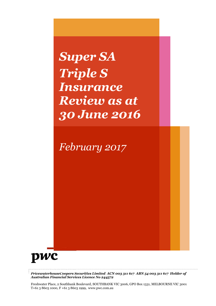# *Super SA Triple S Insurance Review as at 30 June 2016*

*February 2017*



*PricewaterhouseCoopers Securities Limited ACN 003 311 617 ABN 54 003 311 617 Holder of Australian Financial Services Licence No 244572*

Freshwater Place, 2 Southbank Boulevard, SOUTHBANK VIC 3006, GPO Box 1331, MELBOURNE VIC 3001 T+61 3 8603 1000, F +61 3 8603 1999, www.pwc.com.au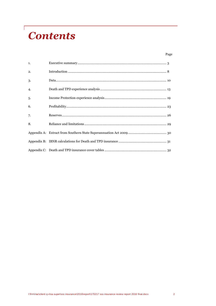# **Contents**

 $\sqrt{ }$ 

### Page

| 1. |  |
|----|--|
| 2. |  |
| 3. |  |
| 4. |  |
| 5. |  |
| 6. |  |
| 7. |  |
| 8. |  |
|    |  |
|    |  |
|    |  |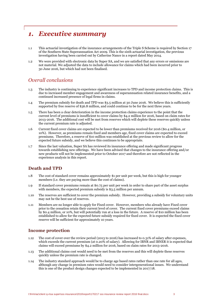## *1. Executive summary*

- 1.1 This actuarial investigation of the insurance arrangements of the Triple S Scheme is required by Section 17 of the Southern State Superannuation Act 2009. This is the sixth actuarial investigation, the previous investigation having been carried out by Catherine Nance in a report dated May 2014.
- 1.2 We were provided with electronic data by Super SA, and we are satisfied that any errors or omissions are not material. We adjusted the data to include allowance for claims which had been incurred prior to 30 June 2016, but which had not been finalised.

## *Overall conclusions*

- 1.3 The industry is continuing to experience significant increases to TPD and income protection claims. This is due to increased member engagement and awareness of superannuation related insurance benefits, and a continued increased presence of legal firms in claims.
- 1.4 The premium subsidy for death and TPD was \$3.5 million at 30 June 2016. We believe this is sufficiently supported by free reserve of \$36.8 million, and could continue to be for the next three years.
- 1.5 There has been a clear deterioration in the income protection claims experience to the point that the current level of premiums is insufficient to cover claims by \$4.2 million for 2016, based on claim rates for 2013-2016. The additional cost will be met from reserves which will deplete these reserves quickly unless the current premium rate is adjusted.
- 1.6 Current fixed cover claims are expected to be lower than premiums received for 2016 (\$0.4 million, or 10%). However, as premiums remain fixed and members age, fixed cover claims are expected to exceed premiums. Therefore, a reserve of \$10 million was established at the previous review to allow for the expected future subsidy, and we believe this continues to be appropriate.
- 1.7 Since the last valuation, Super SA has reviewed its insurance offering and made significant progress towards establishing new offerings. We have been advised that changes to the insurance offering and/or new products will not be implemented prior to October 2017 and therefore are not reflected in the experience analysis in this report.

### **Death and TPD**

- 1.8 The cost of standard cover remains approximately \$1 per unit per week, but this is high for younger members (i.e. they are paying more than the cost of claims).
- 1.9 If standard cover premiums remain at \$0.75 per unit per week in order to share part of the asset surplus with members, the expected premium subsidy is \$3.5 million per annum.
- 1.10 The reserves are sufficient to cover the premium subsidy. However, providing a subsidy for voluntary units may not be the best use of reserves.
- 1.11 Members are no longer able to apply for Fixed cover. However, members who already have Fixed cover prior to the cessation retain their current level of cover. The current fixed cover premiums exceed claims by \$0.4 million, or 10%, but will potentially run at a loss in the future. A reserve of \$10 million has been established to allow for the expected future subsidy required for fixed cover. It is expected the fixed cover reserve will be sufficient for approximately 10 years.

### **Income protection**

- 1.12 The cost of cover over the review period (2013 to 2016) has increased to 0.31% of salary after expenses, which exceeds the current premium (at 0.20% of salary). Allowing for IBNR and IBNER it is expected that claims will exceed premiums by \$4.2 million for 2016, based on claim rates for 2013-2016.
- 1.13 The additional claims cost would need to be met from the reserves and this will deplete these reserves quickly unless the premium rate is changed.
- 1.14 The industry standard approach would be to charge age based rates rather than one rate for all ages, although any change in premium rates would need to consider intergenerational issues. We understand this is one of the product design changes expected to be implemented in 2017/18.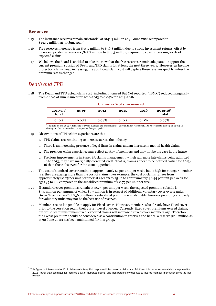### **Reserves**

- 1.15 The insurance reserves remain substantial at \$141.3 million at 30 June 2016 (compared to \$132.2 million at 30 June 2013).
- 1.16 Free reserves increased from \$34.2 million to \$36.8 million due to strong investment returns, offset by increased prudential reserves (\$45.7 million to \$48.3 million) required to cover increasing levels of expected claims.
- 1.17 We believe the Board is entitled to take the view that the free reserves remain adequate to support the current premium subsidy of Death and TPD claims for at least the next three years. However, as Income protection claims keep increasing, the additional claim cost will deplete these reserves quickly unless the premium rate is changed.

### *Death and TPD*

1.18 The Death and TPD actual claim cost (including Incurred But Not reported, "IBNR") reduced marginally from 0.10% of sum insured for 2010-2013 to 0.09% for 2013-2016.

| $2010 - 13^*$<br>total | $2013^1$ | 2014     | 2015     | 2016  | $2013 - 16*$<br>total |
|------------------------|----------|----------|----------|-------|-----------------------|
| 0.10%                  | 0.08%    | $0.08\%$ | $0.10\%$ | 0.11% | 0.09%                 |

#### **Claims as % of sum insured**

\*The 2010-13 and 2013-16 totals are four year averages and are inclusive of 2010 and 2013 respectively. All references to 2010-13 and 2013-16 throughout this report reflect the respective four year period.

- 1.19 Observations of TPD claim experience are that:
	- a. TPD claims are continuing to increase across the industry
	- b. There is an increasing presence of legal firms in claims and an increase in mental health claims
	- c. The previous claim experience may reflect apathy of members and may not be the case in the future
	- d. Previous improvements in Super SA claims management, which saw more late claims being admitted up to 2013, may have marginally corrected itself. That is, claims appear to be notified earlier for 2013- 16 than those observed for the 2010-13 period.
- 1.20 The cost of standard cover remains at approximately \$1 per unit per week, but is high for younger member (i.e. they are paying more than the cost of claims). For example, the cost of claims ranges from approximately \$0.25 per unit per week at ages 20 to 25 up to approximately \$0.44 per unit per week for ages 35 to 40, compared to the subsidised premium of \$0.75 per unit per week.
- 1.21 If standard cover premiums remain at \$0.75 per unit per week, the expected premium subsidy is \$3.5 million per annum, of which \$0.7 million is in respect of additional voluntary cover over 2 units. Given "free reserves" of \$36.8 million, a subsidised premium is sustainable, however providing a subsidy for voluntary units may not be the best use of reserves.
- 1.22 Members are no longer able to apply for Fixed cover. However, members who already have Fixed cover prior to the cessation retain their current level of cover. Currently, fixed cover premiums exceed claims, but while premiums remain fixed, expected claims will increase as fixed cover members age. Therefore, the excess premium should be considered as a contribution to reserves and hence, a reserve (\$10 million as at 30 June 2016) has been maintained for this group.

<sup>1</sup> This figure is different to the 2013 claim rate in May 2014 report (which showed a claim rate of 0.11%). It is based on actual claims reported for 2013 (rather than estimates for Incurred But Not Reported claims) and incorporates any updates to insured member information since the last review.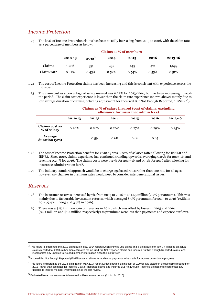## *Income Protection*

1.23 The level of Income Protection claims has been steadily increasing from 2013 to 2016, with the claim rate as a percentage of members as below:

|            | Claims as % of members |          |       |       |       |         |  |  |
|------------|------------------------|----------|-------|-------|-------|---------|--|--|
|            | 2010-13                | $2013^2$ | 2014  | 2015  | 2016  | 2013-16 |  |  |
| Claims     | 1.206                  | 351      | 432   | 445   | 471   | 1,699   |  |  |
| Claim rate | 0.41%                  | 0.43%    | 0.52% | 0.54% | 0.55% | 0.51%   |  |  |

**Claims as % of members**

1.24 The cost of Income Protection claims has been increasing and this is consistent with experience across the industry.

1.25 The claim cost as a percentage of salary insured was 0.25% for 2013-2016, but has been increasing through the period. The claim cost experience is lower than the claim rate experience (shown above) mainly due to low average duration of claims (including adjustment for Incurred But Not Enough Reported, "IBNER"<sup>3</sup>).

### **Claims as % of salary insured (cost of claims, excluding allowance for insurance admin fees) 2010-13 2013<sup>4</sup> 2014 2015 2016 2013-16 Claims cost as % of salary** 0.20% 0.18% 0.26% 0.27% 0.29% 0.25% **Average duration (yrs)** 0.59 0.68 0.66 0.65

- 1.26 The cost of Income Protection benefits for 2010-13 was 0.20% of salaries (after allowing for IBNER and IBNR). Since 2013, claims experience has continued trending upwards, averaging 0.25% for 2013-16, and reaching 0.29% for 2016. The claims costs were 0.27% for 2013-16 and 0.31% for 2016 after allowing for insurance administration fees<sup>5</sup>.
- 1.27 The industry standard approach would be to charge age based rates rather than one rate for all ages, however any changes in premium rates would need to consider intergenerational issues.

### *Reserves*

- 1.28 The insurance reserves increased by 7% from 2013 to 2016 to \$141.3 million (2.2% per annum). This was mainly due to favourable investment returns, which averaged 8.9% per annum for 2013 to 2016 (13.8% in 2014, 9.4% in 2015 and 3.8% in 2016).
- 1.29 There was a \$15.1 million gain on reserves in 2014, which was offset by losses in 2015 and 2016 (\$4.7 million and \$1.4 million respectively) as premiums were less than payments and expense outflows.

 $^2$  This figure is different to the 2013 claim rate in May 2014 report (which showed 385 claims and a claim rate of 0.46%). It is based on actual claims reported for 2013 (rather than estimates for Incurred But Not Reported claims and Incurred But Not Enough Reported claims) and incorporates any updates to insured member information since the last review.

 $^3$  Incurred But Not Enough Reported (IBNER) claims, allows for additional payments to be made for Income protection in progress.

<sup>4</sup> This figure is different to the 2013 claim rate in May 2014 report (which showed claims cost of 0.20%). It is based on actual claims reported for 2013 (rather than estimates for Incurred But Not Reported claims and Incurred But Not Enough Reported claims) and incorporates any updates to insured member information since the last review.

<sup>5</sup> Estimated based on Insurance Administration Fees from accounts (\$1.1m for 2016).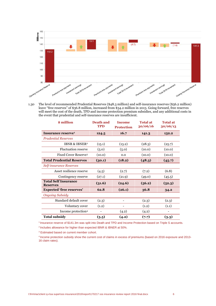

1.30 The level of recommended Prudential Reserves (\$48.3 million) and self-insurance reserves (\$56.2 million) leave "free reserves" of \$36.8 million, increased from \$34.2 million in 2013. Going forward, free reserves will meet the cost of the death, TPD and income protection premium subsidies, and any additional costs in the event that prudential and self-insurance reserves are insufficient.

| \$ million                                     | <b>Death and</b><br><b>TPD</b> | <b>Income</b><br><b>Protection</b> | <b>Total at</b><br>30/06/16 | <b>Total at</b><br>30/06/13 |
|------------------------------------------------|--------------------------------|------------------------------------|-----------------------------|-----------------------------|
| Insurance reserve <sup>1</sup>                 | 124.5                          | 16.7                               | 141.3                       | 132.2                       |
| Prudential Reserves                            |                                |                                    |                             |                             |
| <b>IBNR &amp; IBNER<sup>2</sup></b>            | (15.1)                         | (13.2)                             | (28.3)                      | (25.7)                      |
| <b>Fluctuation reserve</b>                     | (5.0)                          | (5.0)                              | (10.0)                      | (10.0)                      |
| Fixed Cover Reserve <sup>3</sup>               | (10.0)                         | 0.0                                | (10.0)                      | (10.0)                      |
| <b>Total Prudential Reserves</b>               | (30.1)                         | (18.2)                             | (48.3)                      | (45.7)                      |
| Self-insurance Reserves                        |                                |                                    |                             |                             |
| Asset resilience reserve                       | (4.5)                          | (2.7)                              | (7.2)                       | (6.8)                       |
| Contingency reserve                            | (27.1)                         | (21.9)                             | (49.0)                      | (45.5)                      |
| <b>Total Self Insurance</b><br><b>Reserves</b> | (31.6)                         | (24.6)                             | (56.2)                      | (52.3)                      |
| <b>Expected 'free reserves'</b>                | 62.8                           | (26.1)                             | 36.8                        | 34.2                        |
| <b>Ongoing Subsidy</b>                         |                                |                                    |                             |                             |
| Standard default cover                         | (2.3)                          |                                    | (2.3)                       | (2.3)                       |
| Voluntary cover                                | (1.2)                          |                                    | (1.2)                       | (1.1)                       |
| Income protection <sup>4</sup>                 |                                | (4.2)                              | (4.2)                       | $\overline{\phantom{0}}$    |
| <b>Total subsidy</b>                           | (3.5)                          | (4.2)                              | (7.7)                       | (3.3)                       |

1 Insurance reserve of \$141.3m was split into Death and TPD and Income Protection based on Triple S accounts.

<sup>2</sup> Includes allowance for higher than expected IBNR & IBNER at 50%.

<sup>3</sup> Estimated based on current member cohort.

4 Income protection subsidy show the current cost of claims in excess of premiums (based on 2016 exposure and 2013- 16 claim rates).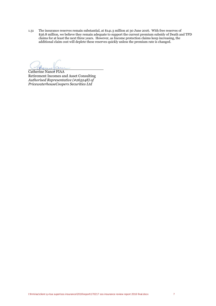1.31 The insurance reserves remain substantial, at \$141.3 million at 30 June 2016. With free reserves of \$36.8 million, we believe they remain adequate to support the current premium subsidy of Death and TPD claims for at least the next three years. However, as Income protection claims keep increasing, the additional claim cost will deplete these reserves quickly unless the premium rate is changed.

 $H$ 

Catherine Nance FIAA Retirement Incomes and Asset Consulting *Authorised Representative (#265248) of PricewaterhouseCoopers Securities Ltd*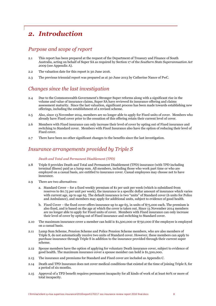## *2. Introduction*

## *Purpose and scope of report*

- 2.1 This report has been prepared at the request of the Department of Treasury and Finance of South Australia, acting on behalf of Super SA as required by Section 17 of the *Southern State Superannuation Act 2009* (see Appendix A).
- 2.2 The valuation date for this report is 30 June 2016.
- 2.3 The previous triennial report was prepared as at 30 June 2013 by Catherine Nance of PwC.

## *Changes since the last investigation*

- 2.4 Due to the Commonwealth Government's Stronger Super reforms along with a significant rise in the volume and value of insurance claims, Super SA have reviewed its insurance offering and claims assessment maturity. Since the last valuation, significant process has been made towards establishing new offerings, including the establishment of a revised scheme.
- 2.5 Also, since 13 November 2014, members are no longer able to apply for Fixed units of cover. Members who already have Fixed cover prior to the cessation of this offering retain their current level of cover.
- 2.6 Members with Fixed insurance can only increase their level of cover by opting out of Fixed insurance and switching to Standard cover. Members with Fixed Insurance also have the option of reducing their level of Fixed cover.
- 2.7 There have been no other significant changes to the benefits since the last investigation.

### *Insurance arrangements provided by Triple S*

#### *Death and Total and Permanent Disablement (TPD)*

- 2.8 Triple S provides Death and Total and Permanent Disablement (TPD) insurance (with TPD including terminal illness) paid as a lump sum. All members, including those who work part time or who are employed on a casual basis, are entitled to insurance cover. Casual employees may choose not to have insurance.
- 2.9 There are two alternatives:
	- a. Standard Cover for a fixed weekly premium of \$1 per unit per week (which is subsidised from reserves to \$0.75 per unit per week), the insurance is a specific dollar amount of insurance which varies with current age, up to age 65. The default insurance is two "units" of Standard cover (6 units for Police and Ambulance), and members may apply for additional units, subject to evidence of good health.
	- b. Fixed Cover the fixed cover offers insurance up to age 65, in units of \$75,000 each. The premium is also fixed, and is based on the age at which the cover is taken out. Since 13 November 2014 members are no longer able to apply for Fixed units of cover. Members with Fixed insurance can only increase their level of cover by opting out of Fixed insurance and switching to Standard cover.
- 2.10 The maximum insurance cover a member can hold is \$1,500,000 or \$750,000 if the employee is employed on a casual basis.
- 2.11 Lump Sum Scheme, Pension Scheme and Police Pension Scheme members, who are also members of Triple S, do not automatically receive two units of Standard cover. However, these members can apply to purchase insurance through Triple S in addition to the insurance provided through their current super scheme.
- 2.12 Spouse members have the option of applying for voluntary Death insurance cover, subject to evidence of good health. The maximum insurance cover a spouse member can hold is \$1,500,000.
- 2.13 The insurance and premiums for Standard and Fixed cover are included as Appendix C.
- 2.14 Death and TPD Insurance does not cover medical conditions that existed at the time of joining Triple S, for a period of six months.
- 2.15 Approval of a TPD benefit requires permanent incapacity for all kinds of work of at least 60% or more of total incapacity.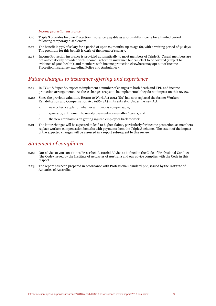#### *Income protection insurance*

- 2.16 Triple S provides Income Protection insurance, payable as a fortnightly income for a limited period following temporary disablement.
- 2.17 The benefit is 75% of salary for a period of up to 24 months, up to age 60, with a waiting period of 30 days. The premium for this benefit is 0.2% of the member's salary.
- 2.18 Income Protection insurance is provided automatically to most members of Triple S. Casual members are not automatically provided with Income Protection insurance but can elect to be covered (subject to evidence of good health), and members with income protection elsewhere may opt out of Income Protection insurance (excluding Police and Ambulance).

## *Future changes to insurance offering and experience*

- 2.19 In FY2018 Super SA expect to implement a number of changes to both death and TPD and income protection arrangements. As these changes are yet to be implemented they do not impact on this review.
- 2.20 Since the previous valuation, Return to Work Act 2014 (SA) has now replaced the former Workers Rehabilitation and Compensation Act 1986 (SA) in its entirety. Under the new Act:
	- a. new criteria apply for whether an injury is compensable,
	- b. generally, entitlement to weekly payments ceases after 2 years, and
	- c. the new emphasis is on getting injured employees back to work.
- 2.21 The latter changes will be expected to lead to higher claims, particularly for income protection, as members replace workers compensation benefits with payments from the Triple S scheme. The extent of the impact of the expected changes will be assessed in a report subsequent to this review.

### *Statement of compliance*

- 2.22 Our advice to you constitutes Prescribed Actuarial Advice as defined in the Code of Professional Conduct (the Code) issued by the Institute of Actuaries of Australia and our advice complies with the Code in this respect.
- 2.23 The report has been prepared in accordance with Professional Standard 400, issued by the Institute of Actuaries of Australia.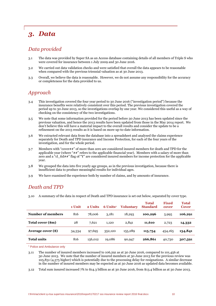## *3. Data*

## *Data provided*

- 3.1 The data was provided by Super SA as an Access database containing details of all members of Triple S who were covered for insurance between 1 July 2009 and 30 June 2016.
- 3.2 We carried out data validation checks and were satisfied that overall the data appears to be reasonable when compared with the previous triennial valuation as at 30 June 2013.
- 3.3 Overall, we believe the data is reasonable. However, we do not assume any responsibility for the accuracy or completeness for the data provided to us.

## *Approach*

- 3.4 This investigation covered the four year period to 30 June 2016 ("investigation period") because the insurance benefits were relatively consistent over this period. The previous investigation covered the period up to 30 June 2013, so the investigations overlap by one year. We considered this useful as a way of checking on the consistency of the two investigations.
- 3.5 We note that some information provided for the period before 30 June 2013 has been updated since the previous valuation, and hence the 2013 results have been updated from those in the May 2014 report. We don't believe this will have a material impact to the overall results and consider the update to be a refinement on the 2013 results as it is based on more up-to-date information.
- 3.6 We extracted relevant data from the database into a spreadsheet and analysed the claims experience separately for Death and TPD insurance and Income Protection, for each of the four years of the investigation, and for the whole period.
- 3.7 Members with "cover##" of more than zero are considered insured members for death and TPD for the applicable year (where "##" refers to the applicable financial year). Members with a salary of more than zero and a "cl\_ttd##" flag of "Y" are considered insured members for income protection for the applicable year.
- 3.8 We grouped the data into five yearly age groups, as in the previous investigation, because there is insufficient data to produce meaningful results for individual ages.
- 3.9 We have examined the experience both by number of claims, and by amounts of insurance.

## *Death and TPD*

3.10 A summary of the data in respect of Death and TPD insurance is set out below, separated by cover type.

|                    | 1 Unit | 2 Units | 6 Units <sup>1</sup> | <b>Voluntary</b> | <b>Total</b><br><b>Standard</b> | <b>Fixed</b><br>cover | <b>Total</b><br><b>Cover</b> |
|--------------------|--------|---------|----------------------|------------------|---------------------------------|-----------------------|------------------------------|
| Number of members  | 816    | 78.006  | 3,181                | 18,293           | 100,296                         | 5,995                 | 106,291                      |
| Total cover (\$m)  | 28     | 7,621   | 1.120                | 2,841            | 11,610                          | 2,723                 | 14,332                       |
| Average cover (\$) | 34,334 | 97,695  | 352,120              | 155,289          | 115,754                         | 454,165               | 134,841                      |
| <b>Total units</b> | 816    | 156,012 | 19,086               | 90,947           | 266,861                         | 40,730                | 307,591                      |

<sup>1</sup> Police and Ambulance only

3.11 The number of insured members increased to 106,291 as at 30 June 2016, compared to 101,456 at 30 June 2013. We note that the number of insured members at 30 June 2013 for the previous review was 105,831 (4,375 higher) which is potentially due to the processing delay for resignations. A similar decrease in the number of insured members may be expected as at 30 June 2016 as updated data becomes available.

3.12 Total sum insured increased 7% to \$14.3 billion as at 30 June 2016, from \$13.4 billion as at 30 June 2013.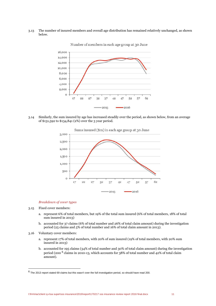3.13 The number of insured members and overall age distribution has remained relatively unchanged, as shown below.



Number of members in each age group at 30 June

3.14 Similarly, the sum insured by age has increased steadily over the period, as shown below, from an average of \$131,592 to \$134,841 (2%) over the 3 year period.



Sums insured (\$m) in each age group at 30 June

### *Breakdown of cover types*

- 3.15 Fixed cover members:
	- a. represent 6% of total members, but 19% of the total sum insured (6% of total members, 18% of total sum insured in 2013)
	- b. accounted for 37 claims (6% of total number and 26% of total claim amount) during the investigation period (25 claims and 5% of total number and 16% of total claim amount in 2013).
- 3.16 Voluntary cover members:
	- a. represent 17% of total members, with 20% of sum insured (19% of total members, with 20% sum insured in 2013)
	- b. accounted for 195 claims (34% of total number and 30% of total claim amount) during the investigation period (200<sup>6</sup> claims in 2010-13, which accounts for 38% of total number and 42% of total claim amount).

 $^6$  The 2013 report stated 69 claims but this wasn't over the full investigation period, so should have read 200.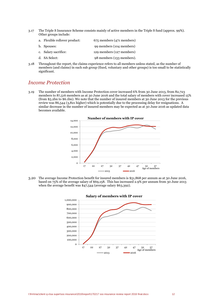3.17 The Triple S Insurance Scheme consists mainly of active members in the Triple S fund (approx. 99%). Other groups include:

| a. Flexible rollover product: | 675 members (471 members) |
|-------------------------------|---------------------------|
| b. Spouses:                   | 99 members (104 members)  |
| c. Salary sacrifice:          | 129 members (127 members) |
| d. SA Select:                 | 98 members (133 members). |

3.18 Throughout the report, the claims experience refers to all members unless stated, as the number of members (and claims) in each sub group (fixed, voluntary and other groups) is too small to be statistically significant.

### *Income Protection*

3.19 The number of members with Income Protection cover increased 6% from 30 June 2013, from 82,723 members to 87,516 members as at 30 June 2016 and the total salary of members with cover increased 15% (from \$5.2bn to \$6.1bn). We note that the number of insured members at 30 June 2013 for the previous review was 86,544 (3,821 higher) which is potentially due to the processing delay for resignations. A similar decrease in the number of insured members may be expected as at 30 June 2016 as updated data becomes available.



3.20 The average Income Protection benefit for insured members is \$51,868 per annum as at 30 June 2016, based on 75% of the average salary of \$69,158. This has increased 2.9% per annum from 30 June 2013 when the average benefit was \$47,544 (average salary \$63,392).



### **Salary of members with IP cover**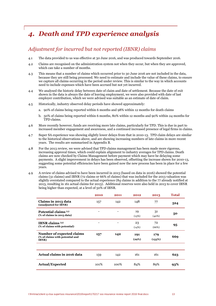## *4. Death and TPD experience analysis*

## *Adjustment for incurred but not reported (IBNR) claims*

- 4.1 The data provided to us was effective at 30 June 2016, and was produced towards September 2016.
- 4.2 Claims are recognised on the administration system not when they occur, but when they are approved, which can take a number of months.
- 4.3 This means that a number of claims which occurred prior to 30 June 2016 are not included in the data, because they are still being processed. We need to estimate and include the value of these claims, to ensure we capture all claims occurring in the period under review. This is similar to the way in which accounts need to include expenses which have been accrued but not yet incurred.
- 4.4 We analysed the historic delay between date of claim and date of settlement. Because the date of exit shown in the data is always the date of leaving employment, we were also provided with date of last employer contribution, which we were advised was suitable as an estimate of date of claim.
- 4.5 Historically, industry observed delay periods have showed approximately:
	- a. 90% of claims being reported within 6 months and 98% within 12 months for death claims
	- b. 50% of claims being reported within 6 months, 80% within 12 months and 90% within 24 months for TPD claims.
- 4.6 More recently however, funds are receiving more late claims, particularly for TPD. This is due in part to increased member engagement and awareness, and a continued increased presence of legal firms in claims.
- 4.7 Super SA experience was showing slightly lower delays from that in 2010-13. TPD claim delays are similar to the historical observations above, and are showing increasing numbers of late claims in more recent years. The results are summarised in Appendix B.
- 4.8 For the 2013 review, we were advised that TPD claims management has been made more rigorous, increasing approval times, which could explain alignment to industry averages for TPD claims. Death claims are now checked by Claims Management before payment which may have be delaying some payments. A slight improvement in delays has been observed, offsetting the increase shown for 2010-13, suggesting some potential efficiencies have been gained now the new process has been in place for a few years.
- 4.9 A review of claims advised to have been incurred in 2013 (based on data in 2016) showed the potential claims (31 claims) and IBNR (72 claims or 66% of claims) that was included for the 2013 valuation was slightly overstated compared to the actual experience (84 claims in addition to the 77 already notified at 2013, resulting in 161 actual claims for 2013). Additional reserves were also held in 2013 to cover IBNR being higher than expected, at a level of 50% of IBNR.

|                                                                               | 2010 | 2011    | 2012         | 2013          | <b>Total</b> |
|-------------------------------------------------------------------------------|------|---------|--------------|---------------|--------------|
| Claims in 2013 data<br>(unadjusted for IBNR)                                  | 157  | 142     | 148          | 77            | 524          |
| Potential claims (1)<br>(% of claims in 2013 data)                            |      |         | 19<br>(13%)  | 31<br>(40%)   | 50           |
| IBNR claims $(2)$<br>(% of claims with potential)                             |      |         | 23<br>(14%)  | 72<br>(66%)   | 95           |
| Number of expected claims<br>(% of claims with potential and<br><b>IBNR</b> ) | 157  | 142     | 191<br>(29%) | 179<br>(133%) | 669          |
|                                                                               |      |         |              |               |              |
| Actual claims in 2016 data                                                    | 159  | 142     | 161          | 161           | 623          |
| <b>Actual/Expected</b>                                                        | 101% | $100\%$ | 84%          | 89%           | 93%          |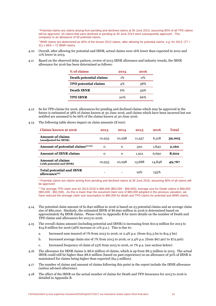<sup>1</sup> Potential claims are claims arising from pending and declined claims at 30 June 2013, assuming 85% of all TPD claims will be approved. 43 claims that were declined or pending at 30 June 2013 were subsequently approved. This compares to an allowance of 50 potential claims.

<sup>2</sup> IBNR claims are determined as 66% of the known 2013 claims, after allowing for potential claims, e.g. for 2013: (77 + 31) x 66% = 72 IBNR claims.

- 4.10 Overall, after allowing for potential and IBNR, actual claims were 16% lower than expected in 2012 and 11% lower in 2013.
- 4.11 Based on the observed delay pattern, review of 2013 IBNR allowance and industry trends, the IBNR allowance for 2016 has been determined as follows:

| % of claims                 | 2015  | 2016           |
|-----------------------------|-------|----------------|
| Death potential claims      | $1\%$ | 0 <sup>%</sup> |
| <b>TPD</b> potential claims | 4%    | 38%            |
| <b>Death IBNR</b>           | 6%    | 59%            |
| <b>TPD IBNR</b>             | 20%   | 66%            |
|                             |       |                |

- 4.12 So for TPD claims for 2016, allowances for pending and declined claims which may be approved in the future is estimated at 38% of claims known at 30 June 2016, and claims which have been incurred but not notified are assumed to be 66% of the claims known at 30 June 2016.
- 4.13 The following table shows impact on claim amounts (\$'000)

| <b>Claims known at 2016</b>                                 | 2013        | 2014        | 2015   | 2016   | Total  |
|-------------------------------------------------------------|-------------|-------------|--------|--------|--------|
| <b>Amount of claims</b><br>(unadjusted for IBNR)            | 10,933      | 10,298      | 11,457 | 6,318  | 39,005 |
| Amount of potential claims $(1)(2)$                         | $\mathbf 0$ | $\mathbf 0$ | 320    | 1,840  | 2,160  |
| <b>Amount of IBNR claims</b>                                | 0           | $\mathbf 0$ | 1,912  | 6,690  | 8,602  |
| <b>Amount of claims</b><br>(with potential and IBNR)        | 10,933      | 10,298      | 13,688 | 14,848 | 49,767 |
| <b>Total potential and IBNR</b><br>allowance <sup>(2)</sup> |             |             | 19%    | 135%   |        |

<sup>1</sup> Potential claims are claims arising from pending and declined claims at 30 June 2016, assuming 90% of all claims will be approved

<sup>2</sup> The average TPD claim size for 2013-2016 is \$66,000 (\$63,000 - \$68,000); average size for Death claims is \$68,000 (\$55,000 - \$92,000). As this is lower than the assumed claim size of \$90,000 adopted in the previous valuation, we have reduced the average claim size assumption to \$80,000 for death and TPD claims for potential and IBNR claims.

- 4.14 The potential claim amount of \$1.840 million in 2016 is based on 23 potential claims and an average claim size of \$80,000. Similarly, the estimated IBNR of \$6.690 million in 2016 is determined based on approximately 84 IBNR claims. Please refer to Appendix B for more details on the number of Death and TPD claims and allowances for 2013 to 2016.
- 4.15 The overall claims amount (including potential and IBNR) is increasing from \$10.9 million for 2013 to \$14.8 million for 2016 (36% increase or 11% p.a.). This is due to:
	- a. Increased sum insured of 7% from 2013 to 2016, or 2.4% p.a. (from \$13.3 bn to \$14.3 bn)
	- b. Increased average claim size of 7% from 2013 to 2016, or 2.4% p.a. (from \$67,907 to \$72,916)
	- c. Increased frequency of claim of 23% from 2013 to 2016, or 7% p.a. (see section below)
- 4.16 The allowance for IBNR claims is \$8.6 million of claims, which is up from \$8.5 million in 2013. The actual IBNR could still be higher than \$8.6 million (based on past experience) so an allowance of 50% of IBNR is maintained for claims being higher than expected (\$4.3 million).
- 4.17 The number of claims and amount of claims following this point in the report include the IBNR allowance (unless advised otherwise).
- 4.18 The effect of the IBNR on the actual number of claims for Death and TPD Insurance for 2013 to 2016 is detailed in Appendix B.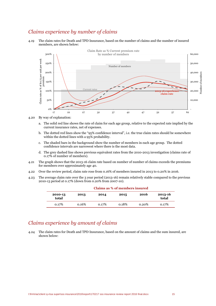## *Claims experience by number of claims*

4.19 The claim rates for Death and TPD Insurance, based on the number of claims and the number of insured members, are shown below:



4.20 By way of explanation:

- a. The solid red line shows the rate of claim for each age group, relative to the expected rate implied by the current insurance rates, net of expenses.
- b. The dotted red lines show the "95% confidence interval", i.e. the true claim rates should be somewhere within the dotted lines with a 95% probability.
- c. The shaded bars in the background show the number of members in each age group. The dotted confidence intervals are narrowest where there is the most data.
- d. The grey dashed line shows previous equivalent rates from the 2010-2013 investigation (claims rate of 0.17% of number of members).
- 4.21 The graph shows that the 2013-16 claim rate based on number of number of claims exceeds the premiums for members over approximately age 40.
- 4.22 Over the review period, claim rate rose from 0.16% of members insured in 2013 to 0.20% in 2016.
- 4.23 The average claim rate over the 3 year period (2013-16) remain relatively stable compared to the previous 2010-13 period at 0.17% (down from 0.20% from 2007-10).

|                          | Claims as % of members insured |       |       |       |                  |  |  |  |
|--------------------------|--------------------------------|-------|-------|-------|------------------|--|--|--|
| 2010-13<br>2013<br>total |                                | 2014  | 2015  | 2016  | 2013-16<br>total |  |  |  |
| 0.17%                    | 0.16%                          | 0.17% | 0.18% | 0.20% | 0.17%            |  |  |  |

#### **Claims as % of members insured**

## *Claims experience by amount of claims*

4.24 The claim rates for Death and TPD Insurance, based on the amount of claims and the sum insured, are shown below: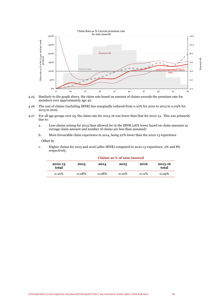



- 4.26 The cost of claims (including IBNR) has marginally reduced from 0.10% for 2010 to 2013 to 0.09% for 2013 to 2016.
- 4.27 For all age groups over 25, the claim rate for 2013-16 was lower than that for 2010-13. This was primarily due to:
	- a. Less claims arising for 2013 than allowed for in the IBNR (26% lower based on claim amounts as average claim amount and number of claims are less than assumed)
	- b. More favourable claim experience in 2014, being 22% lower than the 2010-13 experience

### Offset by

c. Higher claims for 2015 and 2016 (after IBNR) compared to 2010-13 experience, 2% and 8% respectively.

| 2010-13<br>total | 2013  | 2014  | 2015     | 2016  | 2013-16<br>total |  |  |
|------------------|-------|-------|----------|-------|------------------|--|--|
| $0.10\%$         | 0.08% | 0.08% | $0.10\%$ | 0.11% | 0.09%            |  |  |

#### **Claims as % of sum insured**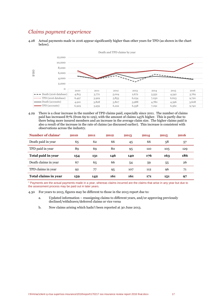## *Claims payment experience*

<sup>4.28</sup> Actual payments made in 2016 appear significantly higher than other years for TPD (as shown in the chart below).



4.29 There is a clear increase in the number of TPD claims paid, especially since 2011. The number of claims paid has increased 87% (from 69 to 129), with the amount of claims 145% higher. This is partly due to there being more insured members and an increase in the average claim size. The higher claims paid is also a result of the increase in the rate of claims (as discussed earlier). This increase is consistent with observations across the industry.

| Number of claims <sup>1</sup> | 2010 | 2011 | 2012 | 2013 | 2014 | 2015 | 2016 |
|-------------------------------|------|------|------|------|------|------|------|
| Death paid in year            | 65   | 62   | 66   | 45   | 66   | 58   | 57   |
| TPD paid in year              | 89   | 69   | 80   | 95   | 110  | 105  | 129  |
| Total paid in year            | 154  | 131  | 146  | 140  | 176  | 163  | 186  |
| Death claims in year          | 67   | 65   | 66   | 54   | 59   | 55   | 26   |
| TPD claims in year            | 92   | 77   | 95   | 107  | 112  | 96   | 71   |
| Total claims in year          | 159  | 142  | 161  | 161  | 171  | 151  | 97   |

<sup>1</sup> Payments are the actual payments made in a year, whereas claims incurred are the claims that arise in any year but due to the assessment process may be paid out in later years.

- 4.30 For years to 2013, figures may be different to those in the 2013 report due to:
	- a. Updated information reassigning claims to different years, and/or approving previously declined/withdrawn/deferred claims or vice versa
	- b. New claims arising which hadn't been reported at 30 June 2013.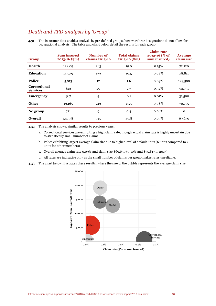## *Death and TPD analysis by 'Group'*

4.31 The insurance data enables analysis by pre-defined groups, however these designations do not allow for occupational analysis. The table and chart below detail the results for each group.

| Group                                  | <b>Sum insured</b><br>$2013 - 16$ (\$m) | Number of<br>claims 2013-16 | <b>Total claims</b><br>$2013 - 16$ (\$m) | <b>Claim rate</b><br>2013-16 (% of<br>sum insured) | <b>Average</b><br>claim size |
|----------------------------------------|-----------------------------------------|-----------------------------|------------------------------------------|----------------------------------------------------|------------------------------|
| Health                                 | 12,809                                  | 263                         | 19.0                                     | 0.15%                                              | 72,120                       |
| <b>Education</b>                       | 14,039                                  | 179                         | 10.5                                     | 0.08%                                              | 58,811                       |
| <b>Police</b>                          | 5,813                                   | 12                          | 1.6                                      | 0.03%                                              | 129,500                      |
| <b>Correctional</b><br><b>Services</b> | 823                                     | 29                          | 2.7                                      | 0.32%                                              | 92,731                       |
| <b>Emergency</b>                       | 987                                     | 4                           | 0.1                                      | 0.01%                                              | 31,500                       |
| <b>Other</b>                           | 19,165                                  | 219                         | 15.5                                     | 0.08%                                              | 70,775                       |
| No group                               | 721                                     | 9                           | 0.4                                      | 0.06%                                              | $\Omega$                     |
| <b>Overall</b>                         | 54,358                                  | 715                         | 49.8                                     | 0.09%                                              | 69,650                       |

4.32 The analysis shows, similar results to previous years:

- a. Correctional Services are exhibiting a high claim rate, though actual claim rate is highly uncertain due to statistically small number of claims
- b. Police exhibiting largest average claim size due to higher level of default units (6 units compared to 2 units for other members)
- c. Overall average claim rate 0.09% and claim size \$69,650 (0.10% and \$75,817 in 2013)
- d. All rates are indicative only as the small number of claims per group makes rates unreliable.
- 4.33 The chart below illustrates these results, where the size of the bubble represents the average claim size.

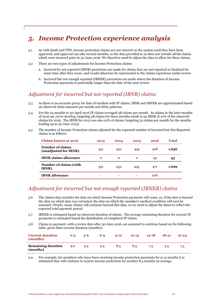## *5. Income Protection experience analysis*

- 5.1 As with death and TPD, income protection claims are not entered on the system until they have been approved, and approval can take several months, so the data provided to us does not include all the claims which were incurred prior to 30 June 2016. We therefore need to adjust the data to allow for these claims.
- 5.2 There are two types of adjustments for Income Protection claims:
	- a. Incurred by not reported (IBNR) provisions are made for claims that are not reported or finalised for some time after they occur, and would otherwise be represented in the claims experience under review
	- b. Incurred but not enough reported (IBNER) provisions are made where the duration of Income Protection payments is potentially longer than the date of the next review.

### *Adjustment for incurred but not reported (IBNR) claims*

- 5.3 As there is no accurate proxy for date of incident with IP claims, IBNR and IBNER are approximated based on observed claim amounts per month and delay patterns.
- 5.4 For the 24 months to 30 April 2016 IP claims averaged 38 claims per month. As claims in the later months of 2016 are yet to develop, targeting 38 claims for these months result in an IBNR of 10% of the observed claims for 2016. The IBNR for 2013 was also 10% of claims (targeting 31 claims per month for the months leading up to 30 June 2013).
- 5.5 The number of Income Protection claims adjusted for the expected number of Incurred but Not Reported claims is as follows:

| Claims known at 2016                      | 2013 | 2014 | 2015 | 2016 | <b>Total</b> |
|-------------------------------------------|------|------|------|------|--------------|
| Number of claims<br>(unadjusted for IBNR) | 351  | 432  | 445  | 428  | 1,656        |
| <b>IBNR</b> claims allowance              | 0    | 0    | 0    | 43   | 43           |
| Number of claims (with<br><b>IBNR</b> )   | 351  | 432  | 445  | 471  | 1,699        |
| <b>IBNR</b> allowance                     |      |      |      | 10%  |              |

## *Adjustment for incurred but not enough reported (IBNER) claims*

- 5.6 The claims data includes the date on which Income Protection payments will cease, or, if the date is beyond the date on which data was extracted, the date on which the member's medical condition will next be assessed. Clearly, many claims will continue beyond this date, so we need to adjust the dates to reflect the expected total payment period.
- 5.7 IBNER is estimated based on observed duration of claims. The average remaining duration for current IP payments is estimated based the distribution of completed IP claims.
- 5.8 Claims in payment, with a review date after 30 June 2016, are assumed to continue based on the following table, given their current duration (months):

| <b>Current duration</b><br>(months)   | $O-3$ | $3 - 6$ | $6 - Q$ | $9 - 12$ | $12 - 15$ | 15-18 | $18 - 21$ | $21 - 24$ |
|---------------------------------------|-------|---------|---------|----------|-----------|-------|-----------|-----------|
| <b>Remaining duration</b><br>(months) | 9.0   | 9.5     | 9.5     | 8.5      | 8.5       | 7.5   | 4.5       | 1.5       |

5.9 For example, for members who have been receiving income protection payments for 9-12 months it is estimated they will continue to receive income protection for another 8.5 months on average.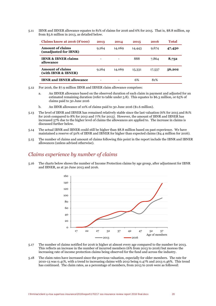5.11 IBNR and IBNER allowance equates to 81% of claims for 2016 and 6% for 2015. That is, \$8.8 million, up from \$5.6 million in 2013, as detailed below.

| Claims know at $2016$ ( $\degree$ '000)          | 2013  | 2014   | 2015   | 2016   | <b>Total</b> |
|--------------------------------------------------|-------|--------|--------|--------|--------------|
| <b>Amount of claims</b><br>(unadjusted for IBNR) | 9,264 | 14,069 | 14,443 | 9,674  | 47,450       |
| <b>IBNR &amp; IBNER claims</b><br>allowance      |       |        | 888    | 7,864  | 8,752        |
| <b>Amount of claims</b><br>(with IBNR & IBNER)   | 9,264 | 14,069 | 15,331 | 17,537 | 56,202       |
| <b>IBNR</b> and <b>IBNER</b> allowance           |       |        | 6%     | 81%    |              |

5.12 For 2016, the \$7.9 million IBNR and IBNER claim allowance comprises:

- a. An IBNER allowance based on the observed duration of each claim in payment and adjusted for an estimated remaining duration (refer to table under 5.8). This equates to \$6.3 million, or 65% of claims paid to 30 June 2016
- b. An IBNR allowance of 10% of claims paid to 30 June 2016 (\$1.6 million).
- 5.13 The level of IBNR and IBNER has remained relatively stable since the last valuation (6% for 2015 and 81% for 2016 compared to 8% for 2012 and 77% for 2013). However, the amount of IBNR and IBNER has increased 57% due to the higher level of claims the allowances are applied to. The increase in claims is discussed further below.
- 5.14 The actual IBNR and IBNER could still be higher than \$8.8 million based on past experience. We have maintained a reserve of 50% of IBNR and IBNER for higher than expected claims (\$4.4 million for 2016).
- 5.15 The number of claims and amount of claims following this point in the report include the IBNR and IBNER allowances (unless advised otherwise).

### *Claims experience by number of claims*

5.16 The charts below shows the number of Income Protection claims by age group, after adjustment for IBNR and IBNER, as at 30 June 2013 and 2016.



- 5.17 The number of claims notified for 2016 is higher at almost every age compared to the number for 2013. This reflects an increase in the number of incurred members (6% from 2013 to 2016) but moreso the increasing rate of income protection claims being observed for the fund and across the industry.
- 5.18 The claim rates have increased since the previous valuation, especially for older members. The rate for 2010-13 was 0.41%, with a trend to increasing claims with 2012 being 0.47% and 2013 0.46%. This trend has continued. The claim rates, as a percentage of members, from 2013 to 2016 were as followed: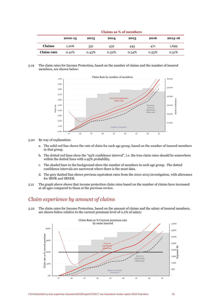|                   | Cialins as 70 Of Hiembers |       |       |       |       |         |  |  |  |
|-------------------|---------------------------|-------|-------|-------|-------|---------|--|--|--|
|                   | 2010-13                   | 2013  | 2014  | 2015  | 2016  | 2013-16 |  |  |  |
| <b>Claims</b>     | 1.206                     | 351   | 432   | 445   | 471   | 1,699   |  |  |  |
| <b>Claim rate</b> | 0.41%                     | 0.43% | 0.52% | 0.54% | 0.55% | 0.51%   |  |  |  |

**Claims as % of members**

5.19 The claim rates for Income Protection, based on the number of claims and the number of insured members, are shown below:



- 5.20 By way of explanation:
	- a. The solid red line shows the rate of claim for each age group, based on the number of insured members in that group.
	- b. The dotted red lines show the "95% confidence interval", i.e. the true claim rates should be somewhere within the dotted lines with a 95% probability.
	- c. The shaded bars in the background show the number of members in each age group. The dotted confidence intervals are narrowest where there is the most data.
	- d. The grey dashed line shows previous equivalent rates from the 2010-2013 investigation, with allowance for IBNR and IBNER.
- 5.21 The graph above shows that income protection claim rates based on the number of claims have increased at all ages compared to those at the previous review.

## *Claim experience by amount of claims*

5.22 The claim rates for Income Protection, based on the amount of claims and the salary of insured members, are shown below relative to the current premium level of 0.2% of salary:

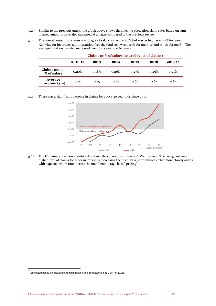- 5.23 Similar to the previous graph, the graph above shows that income protection claim rates based on sum insured amounts have also increased at all ages compared to the previous review.
- 5.24 The overall amount of claims was 0.25% of salary for 2013-2016, but was as high as 0.29% for 2016. Allowing for insurance administration fees the total cost was 0.27% for 2013-16 and 0.31% for 2016<sup>7</sup>. The average duration has also increased from 0.6 years to 0.65 years.

|                               | 2010-13 | 2013  | 2014  | 2015  | 2016  | 2013-16 |
|-------------------------------|---------|-------|-------|-------|-------|---------|
| Claims cost as<br>% of salary | 0.20%   | 0.18% | 0.26% | 0.27% | 0.29% | 0.25%   |
| Average<br>duration (yrs)     | 0.60    | 0.59  | 0.68  | 0.66  | 0.65  | 0.65    |

#### **Claims as % of salary insured (cost of claims)**

5.25 There was a significant increase in claims for above 40 year olds since 2013.



5.26 The IP claim rate is now significantly above the current premium of 0.2% of salary. The rising cost and higher level of claims for older members is increasing the need for a premium scale that more closely aligns with expected claim rates across the membership (age based pricing).

<sup>7</sup> Estimated based on Insurance Administration Fees from accounts (\$1.1m for 2016).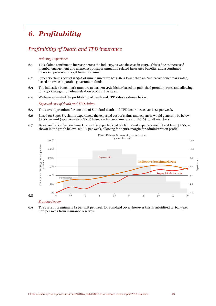## *6. Profitability*

## *Profitability of Death and TPD insurance*

#### *Industry Experience*

- 6.1 TPD claims continue to increase across the industry, as was the case in 2013. This is due to increased member engagement and awareness of superannuation related insurance benefits, and a continued increased presence of legal firms in claims.
- 6.2 Super SA claims cost of 0.09% of sum insured for 2013-16 is lower than an "indicative benchmark rate", based on two comparable government funds.
- 6.3 The indicative benchmark rates are at least 30-45% higher based on published premium rates and allowing for a 30% margin for administration profit in the rates.
- 6.4 We have estimated the profitability of death and TPD rates as shown below.

*Expected cost of death and TPD claims*

- 6.5 The current premium for one unit of Standard death and TPD insurance cover is \$1 per week.
- 6.6 Based on Super SA claims experience, the expected cost of claims and expenses would generally be below \$1.00 per unit (approximately \$0.86 based on higher claim rates for 2016) for all members.
- 6.7 Based on indicative benchmark rates, the expected cost of claims and expenses would be at least \$1.00, as shown in the graph below. (\$1.02 per week, allowing for a 30% margin for administration profit)



### *Standard cover*

6.8

6.9 The current premium is \$1 per unit per week for Standard cover, however this is subsidised to \$0.75 per unit per week from insurance reserves.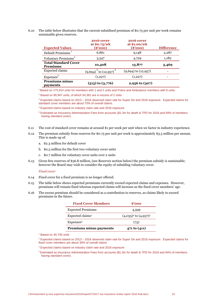6.10 The table below illustrates that the current subsidised premium of \$0.75 per unit per week remains sustainable given reserves.

| <b>Expected Values</b>                         | 2016 cover<br>at $$0.75/wk$<br>$(\$'000)$ | <b>2016 cover</b><br>at $$1.00/\text{wk}$<br>$(\$'000)$ | <b>Difference</b>        |
|------------------------------------------------|-------------------------------------------|---------------------------------------------------------|--------------------------|
| Default Premiums <sup>1</sup>                  | 6,861                                     | 9,148                                                   | 2,287                    |
| Voluntary Premiums <sup>2</sup>                | 3,547                                     | 4,729                                                   | 1,182                    |
| <b>Total Standard Cover</b><br><b>Premiums</b> | 10,408                                    | 13,877                                                  | 3,469                    |
| <b>Expected claims</b>                         | to $(12, 957)$<br>(9,694)                 | $(9,694)$ to $(12,957)$                                 |                          |
| Expenses <sup>5</sup>                          | (1,227)                                   | (1,227)                                                 | $\overline{\phantom{0}}$ |
| <b>Premiums minus</b><br>payments              | $(513)$ to $(3,776)$                      | $2,956$ to $(307)$                                      |                          |

<sup>1</sup> Based on 175,914 units for members with 1 and 2 units and Police and Ambulance members with 6 units

<sup>2</sup> Based on 90,947 units, of which 54,361 are in excess of 2 units

<sup>3</sup> Expected claims based on 2013 – 2016 observed claim rate for Super SA and 2016 exposure. Expected claims for standard cover members are about 70% of overall claims.

<sup>4</sup> Expected claims based on industry claim rate and 2016 exposure

<sup>5</sup> Estimated as Insurance Administration Fees from accounts (\$1.3m for death & TPD for 2016 and 94% of members having standard cover).

- 6.11 The cost of standard cover remains at around \$1 per week per unit when we factor in industry experience.
- 6.12 The premium subsidy from reserves for \$0.75 per unit per week is approximately \$3.5 million per annum. This is made up of:
	- a. \$2.3 million for default cover
	- b. \$0.5 million for the first two voluntary cover units
	- c. \$0.7 million for voluntary cover units over 2 units
- 6.13 Given free reserves of \$36.8 million, (see Reserves section below) the premium subsidy is sustainable; however the Board may wish to consider the equity of subsiding voluntary cover.

#### *Fixed cover*

- 6.14 Fixed cover for a fixed premium is no longer offered.
- 6.15 The table below shows expected premiums currently exceed expected claims and expenses. However, premiums will remain fixed whereas expected claims will increase as the fixed cover members' age.
- 6.16 The excess premium should be considered as a contribution to reserves, as claims likely to exceed premiums in the future.

| <b>Fixed Cover Members</b>     | \$'000                     |
|--------------------------------|----------------------------|
| <b>Expected Premiums</b>       | 4,599                      |
| Expected claims <sup>1</sup>   | $(4,055)^2$ to $(4,937)^3$ |
| Expenses <sup>4</sup>          | (73)                       |
| <b>Premiums minus payments</b> | 471 to (411)               |

<sup>1</sup> Based on 40,730 units

<sup>2</sup> Expected claims based on 2013 – 2016 observed claim rate for Super SA and 2016 exposure. Expected claims for fixed cover members are about 30% of overall claims

<sup>3</sup> Expected claims based on industry claim rate and 2016 exposure

<sup>4</sup> Estimated as Insurance Administration Fees from accounts (\$1.3m for death & TPD for 2016 and 94% of members having standard cover).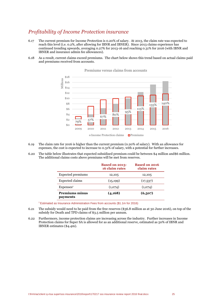## *Profitability of Income Protection insurance*

- 6.17 The current premium for Income Protection is 0.20% of salary. At 2013, the claim rate was expected to reach this level (i.e. 0.2%, after allowing for IBNR and IBNER). Since 2013 claims experience has continued trending upwards, averaging 0.27% for 2013-16 and reaching 0.31% for 2016 (with IBNR and IBNER and insurance admin fee allowances).
- 6.18 As a result, current claims exceed premiums. The chart below shows this trend based on actual claims paid and premiums received from accounts.



Premiums versus claims from accounts

- 6.19 The claim rate for 2016 is higher than the current premium (0.20% of salary). With an allowance for expenses, the cost is expected to increase to 0.31% of salary, with a potential for further increases.
- 6.20 The table below illustrates that expected subsidised premium could be between \$4 million and\$6 million. The additional claims costs above premiums will be met from reserves.

|                                          | <b>Based on 2013-</b><br>16 claim rates | <b>Based on 2016</b><br>claim rates |
|------------------------------------------|-----------------------------------------|-------------------------------------|
| Expected premiums                        | 12,105                                  | 12,105                              |
| <b>Expected claims</b>                   | (15, 199)                               | (17,537)                            |
| Express <sup>1</sup>                     | (1,074)                                 | (1,074)                             |
| <b>Premiums minus</b><br><b>payments</b> | (4, 168)                                | (6,507)                             |

<sup>1</sup> Estimated as Insurance Administration Fees from accounts (\$1.1m for 2016)

- 6.21 The subsidy would need to be paid from the free reserves (\$36.8 million as at 30 June 2016), on top of the subsidy for Death and TPD claims of \$3.5 million per annum.
- 6.22 Furthermore, income protection claims are increasing across the industry. Further increases in Income Protection claims for Super SA is allowed for as an additional reserve, estimated as 50% of IBNR and IBNER estimates (\$4.4m).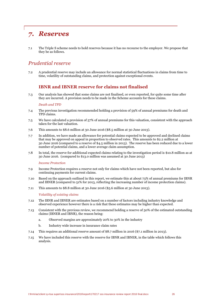## *7. Reserves*

7.1 The Triple S scheme needs to hold reserves because it has no recourse to the employer. We propose that they be as follows.

## *Prudential reserve*

7.2 A prudential reserve may include an allowance for normal statistical fluctuations in claims from time to time, volatility of outstanding claims, and protection against exceptional events.

### **IBNR and IBNER reserve for claims not finalised**

7.3 Our analysis has showed that some claims are not finalised, or even reported, for quite some time after they are incurred. A provision needs to be made in the Scheme accounts for these claims.

#### *Death and TPD*

- 7.4 The previous investigation recommended holding a provision of 59% of annual premiums for death and TPD claims.
- 7.5 We have calculated a provision of 57% of annual premiums for this valuation, consistent with the approach taken for the last valuation.
- 7.6 This amounts to \$8.6 million at 30 June 2016 (\$8.5 million at 30 June 2013).
- 7.7 In addition, we have made an allowance for potential claims expected to be approved and declined claims that may be approved on appeal in proportion to observed rates. This amounts to \$2.2 million at 30 June 2016 (compared to a reserve of \$4.5 million in 2013). The reserve has been reduced due to a lower number of potential claims, and a lower average claim assumption.
- 7.8 In total, the reserve for additional expected claims relating to the investigation period is \$10.8 million as at 30 June 2016. (compared to \$13.0 million was assumed at 30 June 2013)

#### *Income Protection*

- 7.9 Income Protection requires a reserve not only for claims which have not been reported, but also for continuing payments for current claims.
- 7.10 Based on the approach outlined in this report, we estimate this at about 73% of annual premiums for IBNR and IBNER (compared to 51% for 2013, reflecting the increasing number of income protection claims).
- 7.11 This amounts to \$8.8 million at 30 June 2016 (\$5.6 million at 30 June 2013).

#### *Volatility of existing claims*

- 7.12 The IBNR and IBNER are estimates based on a number of factors including industry knowledge and observed experience however there is a risk that these estimates may be higher than expected.
- 7.13 Consistent with the previous review, we recommend holding a reserve of 50% of the estimated outstanding claims (IBNER and IBNR), the reason being:
	- a. Observed margins are approximately 20% to 30% in the industry
	- b. Industry wide increase in insurance claim rates
- 7.14 This requires an additional reserve amount of \$8.7 million in 2016 (\$7.1 million in 2013).
- 7.15 We have included this reserve with the reserve for IBNR and IBNER, in the table which follows this analysis.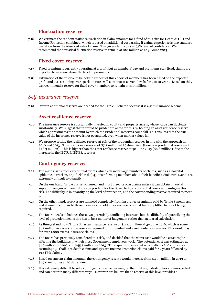### **Fluctuation reserve**

7.16 We estimate the random statistical variation in claim amounts for a fund of this size for Death & TPD and Income Protection combined, which is based on additional cost arising if claims experience is two standard deviation from the observed rate of claim. This gives claim costs at 95% level of confidence. We recommend the statistical fluctuation reserve to remain at \$10 million as at 30 June 2013.

### **Fixed cover reserve**

- 7.17 Fixed premium is currently operating at a profit but as members' age and premiums stay fixed, claims are expected to increase above the level of premiums.
- 7.18 Estimation of the reserve to be held in respect of this cohort of members has been based on the expected profit and loss assuming average claim rates will continue at current levels for 5 to 10 years. Based on this, we recommend a reserve for fixed cover members to remain at \$10 million.

### *Self-insurance reserve*

7.19 Certain additional reserves are needed for the Triple S scheme because it is a self-insurance scheme.

### **Asset resilience reserve**

- 7.20 The insurance reserve is substantially invested in equity and property assets, whose value can fluctuate substantially. We suggest that it would be prudent to allow for this by holding an asset resilience reserve which approximates the amount by which the Prudential Reserves could fall. This ensures that the true value of the insurance reserve is not overstated, even when market values fall.
- 7.21 We propose setting the resilience reserve at 15% of the prudential reserves in line with the approach in 2010 and 2013. This results in a reserve of \$7.2 million at 30 June 2016 (based on prudential reserves of \$48.3 million). This is higher than the asset resilience reserve at 30 June 2013 (\$6.8 million), due to the increase in the IBNR & IBNER reserves.

### **Contingency reserves**

- 7.22 The main risk is from exceptional events which can incur large numbers of claims, such as a hospital epidemic, terrorism, or judicial risk (e.g. misinforming members about their benefits). Such rare events are extremely difficult to quantify.
- 7.23 On the one hand, Triple S is self-insured, and must meet its own claims unless it can obtain financial support from government. It may be prudent for the Board to hold substantial reserves to mitigate this risk. The difficulty is in quantifying the level of protection, and the corresponding reserve required to meet it.
- 7.24 On the other hand, reserves are financed completely from insurance premiums paid by Triple S members, and it would be unfair to those members to hold excessive reserves that had very little chance of being required.
- 7.25 The Board needs to balance these two potentially conflicting interests, but the difficulty of quantifying the level of protection means this has to be a matter of judgement rather than actuarial calculation.
- 7.26 As things stand now, Triple S has an insurance reserve of \$141.3 million at 30 June 2016, which is some \$85 million in excess of the reserves required for prudential and asset resilience reserves. This would pay for over 1,000 excess insurance claims.
- 7.27 The Board has previously considered this risk, and decided that the worst case would be a catastrophe affecting the buildings in which most Government employees work. The potential cost was estimated at \$40 million in 2010, and \$45.5 million in 2013. This equates to an event which affects 260 employees, assuming 130 (half) are death claims and 130 are Income Protection claims paid for 2 years followed by 130 TPD claims.
- 7.28 Based on current claim amounts, the contingency reserve would increase from \$45.5 million in 2013 to \$49.0 million as at 30 June 2016.
- 7.29 It is extremely difficult to set a contingency reserve because, by their nature, catastrophes are unexpected and can occur in many different ways. However, we believe that a reserve at this level provides a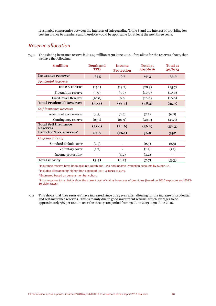reasonable compromise between the interests of safeguarding Triple S and the interest of providing low cost insurance to members and therefore would be applicable for at least the next three years.

### *Reserve allocation*

7.30 The existing insurance reserve is \$141.3 million at 30 June 2016. If we allow for the reserves above, then we have the following:

| \$ million                                     | <b>Death and</b><br><b>TPD</b> | <b>Income</b><br><b>Protection</b> |        | <b>Total at</b><br>30/06/16 |  | <b>Total at</b><br>30/6/13 |
|------------------------------------------------|--------------------------------|------------------------------------|--------|-----------------------------|--|----------------------------|
| Insurance reserve <sup>1</sup>                 | 124.5                          | 16.7                               | 141.3  | 132.2                       |  |                            |
| <b>Prudential Reserves</b>                     |                                |                                    |        |                             |  |                            |
| <b>IBNR &amp; IBNER<sup>2</sup></b>            | (15.1)                         | (13.2)                             | (28.3) | (25.7)                      |  |                            |
| <b>Fluctuation reserve</b>                     | (5.0)                          | (5.0)                              | (10.0) | (10.0)                      |  |                            |
| <b>Fixed Cover Reserve3</b>                    | (10.0)                         | 0.0                                | (10.0) | (10.0)                      |  |                            |
| <b>Total Prudential Reserves</b>               | (30.1)                         | (18.2)                             | (48.3) | (45.7)                      |  |                            |
| Self-insurance Reserves                        |                                |                                    |        |                             |  |                            |
| Asset resilience reserve                       | (4.5)                          | (2.7)                              | (7.2)  | (6.8)                       |  |                            |
| Contingency reserve                            | (27.1)                         | (21.9)                             | (49.0) | (45.5)                      |  |                            |
| <b>Total Self Insurance</b><br><b>Reserves</b> | (31.6)                         | (24.6)                             | (56.2) | (52.3)                      |  |                            |
| <b>Expected 'free reserves'</b>                | 62.8                           | (26.1)                             | 36.8   | 34.2                        |  |                            |
| <b>Ongoing Subsidy</b>                         |                                |                                    |        |                             |  |                            |
| Standard default cover                         | (2.3)                          | $\overline{\phantom{0}}$           | (2.3)  | (2.3)                       |  |                            |
| Voluntary cover                                | (1.2)                          | $\overline{\phantom{0}}$           | (1.2)  | (1.1)                       |  |                            |
| Income protection <sup>4</sup>                 | $\overline{\phantom{0}}$       | (4.2)                              | (4.2)  | $\overline{\phantom{a}}$    |  |                            |
| <b>Total subsidy</b>                           | (3.5)                          | (4.2)                              | (7.7)  | (3.3)                       |  |                            |

1 Insurance reserve have been split into Death and TPD and Income Protection accounts by Super SA.

<sup>2</sup> Includes allowance for higher than expected IBNR & IBNR at 50%.

<sup>3</sup> Estimated based on current member cohort.

4 Income protection subsidy show the current cost of claims in excess of premiums (based on 2016 exposure and 2013- 16 claim rates).

7.31 This shows that 'free reserves' have increased since 2013 even after allowing for the increase of prudential and self-insurance reserves. This is mainly due to good investment returns, which averages to be approximately 9% per annum over the three years period from 30 June 2013 to 30 June 2016.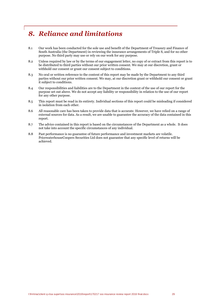## *8. Reliance and limitations*

- 8.1 Our work has been conducted for the sole use and benefit of the Department of Treasury and Finance of South Australia (the Department) in reviewing the insurance arrangements of Triple S, and for no other purpose. No third party may use or rely on our work for any purpose.
- 8.2 Unless required by law or by the terms of our engagement letter, no copy of or extract from this report is to be distributed to third parties without our prior written consent. We may at our discretion, grant or withhold our consent or grant our consent subject to conditions.
- 8.3 No oral or written reference to the content of this report may be made by the Department to any third parties without our prior written consent. We may, at our discretion grant or withhold our consent or grant it subject to conditions.
- 8.4 Our responsibilities and liabilities are to the Department in the context of the use of our report for the purpose set out above. We do not accept any liability or responsibility in relation to the use of our report for any other purpose.
- 8.5 This report must be read in its entirety. Individual sections of this report could be misleading if considered in isolation from each other.
- 8.6 All reasonable care has been taken to provide data that is accurate. However, we have relied on a range of external sources for data. As a result, we are unable to guarantee the accuracy of the data contained in this report.
- 8.7 The advice contained in this report is based on the circumstances of the Department as a whole. It does not take into account the specific circumstances of any individual.
- 8.8 Past performance is no guarantee of future performance and investment markets are volatile. PricewaterhouseCoopers Securities Ltd does not guarantee that any specific level of returns will be achieved.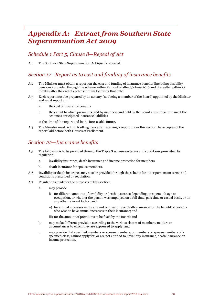## *Appendix A: Extract from Southern State Superannuation Act 2009*

### *Schedule 1 Part 5, Clause 8—Repeal of Act*

A.1 The Southern State Superannuation Act 1994 is repealed.

### *Section 17—Report as to cost and funding of insurance benefits*

- A.2 The Minister must obtain a report on the cost and funding of insurance benefits (including disability pensions) provided through the scheme within 12 months after 30 June 2010 and thereafter within 12 months after the end of each triennium following that date.
- A.3 Each report must be prepared by an actuary (not being a member of the Board) appointed by the Minister and must report on:
	- a. the cost of insurance benefits
	- b. the extent to which premiums paid by members and held by the Board are sufficient to meet the scheme's anticipated insurance liabilities

at the time of the report and in the foreseeable future.

A.4 The Minister must, within 6 sitting days after receiving a report under this section, have copies of the report laid before both Houses of Parliament.

## *Section 22—Insurance benefits*

- A.5 The following is to be provided through the Triple S scheme on terms and conditions prescribed by regulation:
	- a. invalidity insurance, death insurance and income protection for members
	- b. death insurance for spouse members.
- A.6 Invalidity or death insurance may also be provided through the scheme for other persons on terms and conditions prescribed by regulation.
- A.7 Regulations made for the purposes of this section:
	- a. may provide
		- i) for different amounts of invalidity or death insurance depending on a person's age or occupation, or whether the person was employed on a full time, part time or casual basis, or on any other relevant factor; and
		- ii) for annual increases in the amount of invalidity or death insurance for the benefit of persons who wish to have annual increases in their insurance; and
		- iii) for the amount of premiums to be fixed by the Board; and
	- b. may make different provision according to the various classes of members, matters or circumstances to which they are expressed to apply; and
	- c. may provide that specified members or spouse members, or members or spouse members of a specified class, cannot apply for, or are not entitled to, invalidity insurance, death insurance or income protection.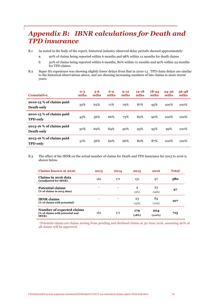## *Appendix B: IBNR calculations for Death and TPD insurance*

B.1 As noted in the body of the report, historical industry observed delay periods showed approximately:

- a. 90% of claims being reported within 6 months and 98% within 12 months for death claims
- b. 50% of claims being reported within 6 months, 80% within 12 months and 90% within 24 months for TPD claims.
- B.2 Super SA experience was showing slightly lower delays from that in 2010-13. TPD claim delays are similar to the historical observations above, and are showing increasing numbers of late claims in more recent years.

| <b>Cumulative</b>                           | $O-3$<br>mths | $3 - 6$<br>mths | $6-9$<br>mths | $9 - 12$<br>mths | $12 - 18$<br>mths | $18 - 24$<br>mths | $24 - 36$<br>mths | $36 - 48$<br>mths |
|---------------------------------------------|---------------|-----------------|---------------|------------------|-------------------|-------------------|-------------------|-------------------|
| 2010-13 % of claims paid<br>Death only      | 32%           | 62%             | 71%           | 79%              | 87%               | 95%               | 100%              | 100%              |
| 2010-13 % of claims paid<br><b>TPD</b> only | 45%           | 56%             | 66%           | 73%              | 82%               | $90\%$            | 100%              | 100%              |
| 2013-16 % of claims paid<br>Death only      | 30%           | 69%             | 84%           | 90%              | 93%               | $9.5\%$           | 99%               | 100%              |
| 2013-16 % of claims paid<br><b>TPD</b> only | 51%           | 56%             | 62%           | 66%              | 80%               | 87%               | 100%              | 100%              |

B.3 The effect of the IBNR on the actual number of claims for Death and TPD Insurance for 2013 to 2016 is shown below.

| <b>Claims known at 2016</b>                                                   | 2013 | 2014 | 2015         | 2016          | <b>Total</b> |
|-------------------------------------------------------------------------------|------|------|--------------|---------------|--------------|
| Claims in 2016 data<br>(unadjusted for IBNR)                                  | 161  | 171  | 151          | 97            | 580          |
| <b>Potential claims</b><br>(% of claims in 2013 data)                         |      |      | 4<br>(3%)    | 23<br>(24%)   | 27           |
| <b>IBNR</b> claims<br>(% of claims with potential)                            |      |      | 23<br>(15%)  | 84<br>(70%)   | 107          |
| Number of expected claims<br>(% of claims with potential and<br><b>IBNR</b> ) | 161  | 171  | 179<br>(18%) | 204<br>(110%) | 715          |

<sup>1</sup> Potential claims are claims arising from pending and declined claims at 30 June 2016, assuming 90% of all claims will be approved.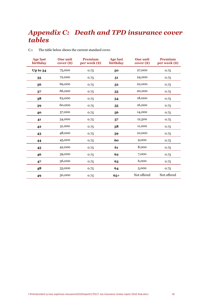## *Appendix C: Death and TPD insurance cover tables*

| <b>Age last</b><br>birthday | <b>One unit</b><br>$cover (*)$ | <b>Premium</b><br>per week (\$) | <b>Age last</b><br>birthday | <b>One unit</b><br>$cover (*)$ | <b>Premium</b><br>per week (\$) |
|-----------------------------|--------------------------------|---------------------------------|-----------------------------|--------------------------------|---------------------------------|
| Up to 34                    | 75,000                         | 0.75                            | 50                          | 27,000                         | 0.75                            |
| 35                          | 72,000                         | 0.75                            | 51                          | 24,000                         | 0.75                            |
| 36                          | 69,000                         | 0.75                            | 52                          | 22,000                         | 0.75                            |
| 37                          | 66,000                         | 0.75                            | 53                          | 20,000                         | 0.75                            |
| 38                          | 63,000                         | 0.75                            | 54                          | 18,000                         | 0.75                            |
| 39                          | 60,000                         | 0.75                            | 55                          | 16,000                         | 0.75                            |
| 40                          | 57,000                         | 0.75                            | 56                          | 14,000                         | 0.75                            |
| 41                          | 54,000                         | 0.75                            | 57                          | 12,500                         | 0.75                            |
| 42                          | 51,000                         | 0.75                            | 58                          | 11,000                         | 0.75                            |
| 43                          | 48,000                         | 0.75                            | 59                          | 10,000                         | 0.75                            |
| 44                          | 45,000                         | 0.75                            | 60                          | 9,000                          | 0.75                            |
| 45                          | 42,000                         | 0.75                            | 61                          | 8,000                          | 0.75                            |
| 46                          | 39,000                         | 0.75                            | 62                          | 7,000                          | 0.75                            |
| 47                          | 36,000                         | 0.75                            | 63                          | 6,000                          | 0.75                            |
| 48                          | 33,000                         | 0.75                            | 64                          | 5,000                          | 0.75                            |
| 49                          | 30,000                         | 0.75                            | $65+$                       | Not offered                    | Not offered                     |

C.1 The table below shows the current standard cover.